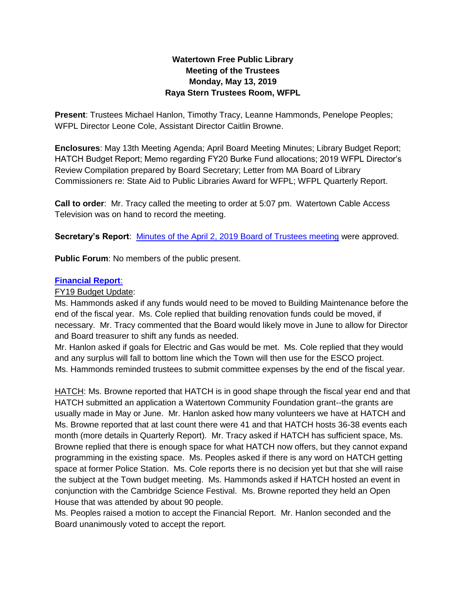# **Watertown Free Public Library Meeting of the Trustees Monday, May 13, 2019 Raya Stern Trustees Room, WFPL**

**Present**: Trustees Michael Hanlon, Timothy Tracy, Leanne Hammonds, Penelope Peoples; WFPL Director Leone Cole, Assistant Director Caitlin Browne.

**Enclosures**: May 13th Meeting Agenda; April Board Meeting Minutes; Library Budget Report; HATCH Budget Report; Memo regarding FY20 Burke Fund allocations; 2019 WFPL Director's Review Compilation prepared by Board Secretary; Letter from MA Board of Library Commissioners re: State Aid to Public Libraries Award for WFPL; WFPL Quarterly Report.

**Call to order**: Mr. Tracy called the meeting to order at 5:07 pm. Watertown Cable Access Television was on hand to record the meeting.

**Secretary's Report**: [Minutes of the April 2, 2019 Board of Trustees meeting](https://www.watertown-ma.gov/DocumentCenter/View/27504/April-2-2019-minutes-with-links) were approved.

**Public Forum**: No members of the public present.

### **[Financial Report](https://www.watertown-ma.gov/DocumentCenter/View/27880/may19financial)**:

## FY19 Budget Update:

Ms. Hammonds asked if any funds would need to be moved to Building Maintenance before the end of the fiscal year. Ms. Cole replied that building renovation funds could be moved, if necessary. Mr. Tracy commented that the Board would likely move in June to allow for Director and Board treasurer to shift any funds as needed.

Mr. Hanlon asked if goals for Electric and Gas would be met. Ms. Cole replied that they would and any surplus will fall to bottom line which the Town will then use for the ESCO project. Ms. Hammonds reminded trustees to submit committee expenses by the end of the fiscal year.

HATCH: Ms. Browne reported that HATCH is in good shape through the fiscal year end and that HATCH submitted an application a Watertown Community Foundation grant--the grants are usually made in May or June. Mr. Hanlon asked how many volunteers we have at HATCH and Ms. Browne reported that at last count there were 41 and that HATCH hosts 36-38 events each month (more details in Quarterly Report). Mr. Tracy asked if HATCH has sufficient space, Ms. Browne replied that there is enough space for what HATCH now offers, but they cannot expand programming in the existing space. Ms. Peoples asked if there is any word on HATCH getting space at former Police Station. Ms. Cole reports there is no decision yet but that she will raise the subject at the Town budget meeting. Ms. Hammonds asked if HATCH hosted an event in conjunction with the Cambridge Science Festival. Ms. Browne reported they held an Open House that was attended by about 90 people.

Ms. Peoples raised a motion to accept the Financial Report. Mr. Hanlon seconded and the Board unanimously voted to accept the report.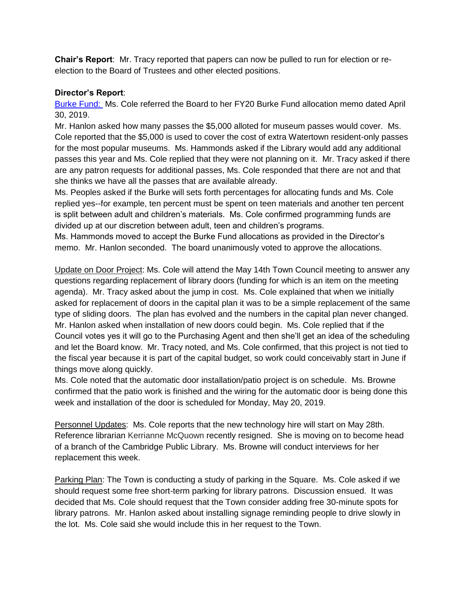**Chair's Report**: Mr. Tracy reported that papers can now be pulled to run for election or reelection to the Board of Trustees and other elected positions.

## **Director's Report**:

[Burke Fund:](https://www.watertown-ma.gov/DocumentCenter/View/27878/may19burke) Ms. Cole referred the Board to her FY20 Burke Fund allocation memo dated April 30, 2019.

Mr. Hanlon asked how many passes the \$5,000 alloted for museum passes would cover. Ms. Cole reported that the \$5,000 is used to cover the cost of extra Watertown resident-only passes for the most popular museums. Ms. Hammonds asked if the Library would add any additional passes this year and Ms. Cole replied that they were not planning on it. Mr. Tracy asked if there are any patron requests for additional passes, Ms. Cole responded that there are not and that she thinks we have all the passes that are available already.

Ms. Peoples asked if the Burke will sets forth percentages for allocating funds and Ms. Cole replied yes--for example, ten percent must be spent on teen materials and another ten percent is split between adult and children's materials. Ms. Cole confirmed programming funds are divided up at our discretion between adult, teen and children's programs.

Ms. Hammonds moved to accept the Burke Fund allocations as provided in the Director's memo. Mr. Hanlon seconded. The board unanimously voted to approve the allocations.

Update on Door Project: Ms. Cole will attend the May 14th Town Council meeting to answer any questions regarding replacement of library doors (funding for which is an item on the meeting agenda). Mr. Tracy asked about the jump in cost. Ms. Cole explained that when we initially asked for replacement of doors in the capital plan it was to be a simple replacement of the same type of sliding doors. The plan has evolved and the numbers in the capital plan never changed. Mr. Hanlon asked when installation of new doors could begin. Ms. Cole replied that if the Council votes yes it will go to the Purchasing Agent and then she'll get an idea of the scheduling and let the Board know. Mr. Tracy noted, and Ms. Cole confirmed, that this project is not tied to the fiscal year because it is part of the capital budget, so work could conceivably start in June if things move along quickly.

Ms. Cole noted that the automatic door installation/patio project is on schedule. Ms. Browne confirmed that the patio work is finished and the wiring for the automatic door is being done this week and installation of the door is scheduled for Monday, May 20, 2019.

Personnel Updates: Ms. Cole reports that the new technology hire will start on May 28th. Reference librarian Kerrianne McQuown recently resigned. She is moving on to become head of a branch of the Cambridge Public Library. Ms. Browne will conduct interviews for her replacement this week.

Parking Plan: The Town is conducting a study of parking in the Square. Ms. Cole asked if we should request some free short-term parking for library patrons. Discussion ensued. It was decided that Ms. Cole should request that the Town consider adding free 30-minute spots for library patrons. Mr. Hanlon asked about installing signage reminding people to drive slowly in the lot. Ms. Cole said she would include this in her request to the Town.